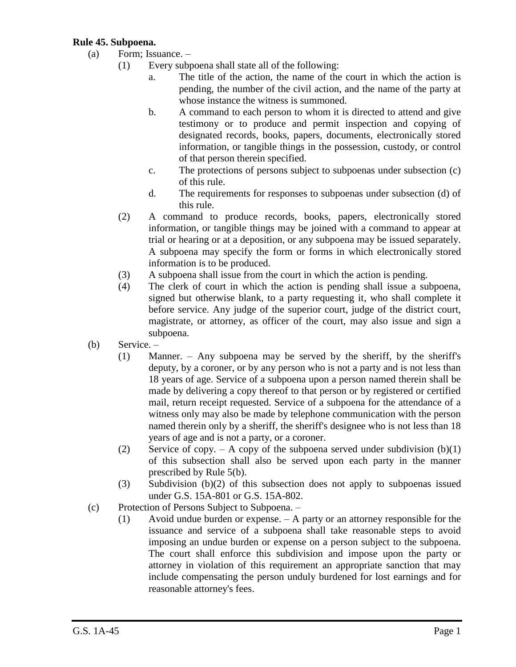## **Rule 45. Subpoena.**

- (a) Form; Issuance.
	- (1) Every subpoena shall state all of the following:
		- a. The title of the action, the name of the court in which the action is pending, the number of the civil action, and the name of the party at whose instance the witness is summoned.
		- b. A command to each person to whom it is directed to attend and give testimony or to produce and permit inspection and copying of designated records, books, papers, documents, electronically stored information, or tangible things in the possession, custody, or control of that person therein specified.
		- c. The protections of persons subject to subpoenas under subsection (c) of this rule.
		- d. The requirements for responses to subpoenas under subsection (d) of this rule.
	- (2) A command to produce records, books, papers, electronically stored information, or tangible things may be joined with a command to appear at trial or hearing or at a deposition, or any subpoena may be issued separately. A subpoena may specify the form or forms in which electronically stored information is to be produced.
	- (3) A subpoena shall issue from the court in which the action is pending.
	- (4) The clerk of court in which the action is pending shall issue a subpoena, signed but otherwise blank, to a party requesting it, who shall complete it before service. Any judge of the superior court, judge of the district court, magistrate, or attorney, as officer of the court, may also issue and sign a subpoena.
- (b) Service.
	- (1) Manner. Any subpoena may be served by the sheriff, by the sheriff's deputy, by a coroner, or by any person who is not a party and is not less than 18 years of age. Service of a subpoena upon a person named therein shall be made by delivering a copy thereof to that person or by registered or certified mail, return receipt requested. Service of a subpoena for the attendance of a witness only may also be made by telephone communication with the person named therein only by a sheriff, the sheriff's designee who is not less than 18 years of age and is not a party, or a coroner.
	- (2) Service of copy. A copy of the subpoena served under subdivision  $(b)(1)$ of this subsection shall also be served upon each party in the manner prescribed by Rule 5(b).
	- (3) Subdivision (b)(2) of this subsection does not apply to subpoenas issued under G.S. 15A-801 or G.S. 15A-802.
- (c) Protection of Persons Subject to Subpoena.
	- (1) Avoid undue burden or expense. A party or an attorney responsible for the issuance and service of a subpoena shall take reasonable steps to avoid imposing an undue burden or expense on a person subject to the subpoena. The court shall enforce this subdivision and impose upon the party or attorney in violation of this requirement an appropriate sanction that may include compensating the person unduly burdened for lost earnings and for reasonable attorney's fees.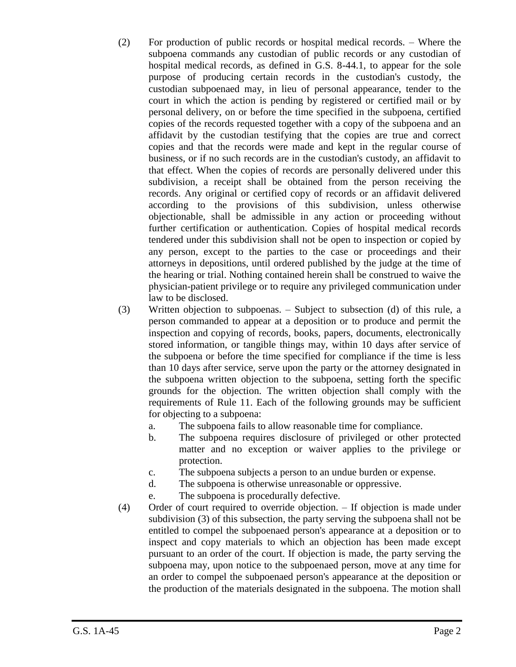- (2) For production of public records or hospital medical records. Where the subpoena commands any custodian of public records or any custodian of hospital medical records, as defined in G.S. 8-44.1, to appear for the sole purpose of producing certain records in the custodian's custody, the custodian subpoenaed may, in lieu of personal appearance, tender to the court in which the action is pending by registered or certified mail or by personal delivery, on or before the time specified in the subpoena, certified copies of the records requested together with a copy of the subpoena and an affidavit by the custodian testifying that the copies are true and correct copies and that the records were made and kept in the regular course of business, or if no such records are in the custodian's custody, an affidavit to that effect. When the copies of records are personally delivered under this subdivision, a receipt shall be obtained from the person receiving the records. Any original or certified copy of records or an affidavit delivered according to the provisions of this subdivision, unless otherwise objectionable, shall be admissible in any action or proceeding without further certification or authentication. Copies of hospital medical records tendered under this subdivision shall not be open to inspection or copied by any person, except to the parties to the case or proceedings and their attorneys in depositions, until ordered published by the judge at the time of the hearing or trial. Nothing contained herein shall be construed to waive the physician-patient privilege or to require any privileged communication under law to be disclosed.
- (3) Written objection to subpoenas. Subject to subsection (d) of this rule, a person commanded to appear at a deposition or to produce and permit the inspection and copying of records, books, papers, documents, electronically stored information, or tangible things may, within 10 days after service of the subpoena or before the time specified for compliance if the time is less than 10 days after service, serve upon the party or the attorney designated in the subpoena written objection to the subpoena, setting forth the specific grounds for the objection. The written objection shall comply with the requirements of Rule 11. Each of the following grounds may be sufficient for objecting to a subpoena:
	- a. The subpoena fails to allow reasonable time for compliance.
	- b. The subpoena requires disclosure of privileged or other protected matter and no exception or waiver applies to the privilege or protection.
	- c. The subpoena subjects a person to an undue burden or expense.
	- d. The subpoena is otherwise unreasonable or oppressive.
	- e. The subpoena is procedurally defective.
- (4) Order of court required to override objection. If objection is made under subdivision (3) of this subsection, the party serving the subpoena shall not be entitled to compel the subpoenaed person's appearance at a deposition or to inspect and copy materials to which an objection has been made except pursuant to an order of the court. If objection is made, the party serving the subpoena may, upon notice to the subpoenaed person, move at any time for an order to compel the subpoenaed person's appearance at the deposition or the production of the materials designated in the subpoena. The motion shall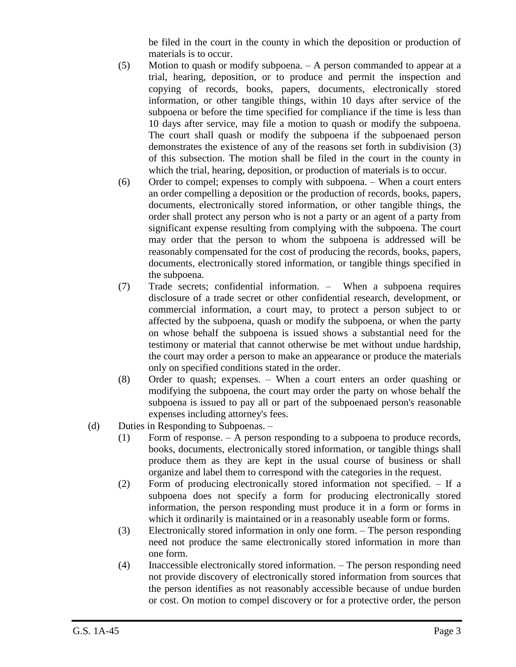be filed in the court in the county in which the deposition or production of materials is to occur.

- (5) Motion to quash or modify subpoena. A person commanded to appear at a trial, hearing, deposition, or to produce and permit the inspection and copying of records, books, papers, documents, electronically stored information, or other tangible things, within 10 days after service of the subpoena or before the time specified for compliance if the time is less than 10 days after service, may file a motion to quash or modify the subpoena. The court shall quash or modify the subpoena if the subpoenaed person demonstrates the existence of any of the reasons set forth in subdivision (3) of this subsection. The motion shall be filed in the court in the county in which the trial, hearing, deposition, or production of materials is to occur.
- (6) Order to compel; expenses to comply with subpoena. When a court enters an order compelling a deposition or the production of records, books, papers, documents, electronically stored information, or other tangible things, the order shall protect any person who is not a party or an agent of a party from significant expense resulting from complying with the subpoena. The court may order that the person to whom the subpoena is addressed will be reasonably compensated for the cost of producing the records, books, papers, documents, electronically stored information, or tangible things specified in the subpoena.
- (7) Trade secrets; confidential information. When a subpoena requires disclosure of a trade secret or other confidential research, development, or commercial information, a court may, to protect a person subject to or affected by the subpoena, quash or modify the subpoena, or when the party on whose behalf the subpoena is issued shows a substantial need for the testimony or material that cannot otherwise be met without undue hardship, the court may order a person to make an appearance or produce the materials only on specified conditions stated in the order.
- (8) Order to quash; expenses. When a court enters an order quashing or modifying the subpoena, the court may order the party on whose behalf the subpoena is issued to pay all or part of the subpoenaed person's reasonable expenses including attorney's fees.
- (d) Duties in Responding to Subpoenas.
	- (1) Form of response. A person responding to a subpoena to produce records, books, documents, electronically stored information, or tangible things shall produce them as they are kept in the usual course of business or shall organize and label them to correspond with the categories in the request.
	- (2) Form of producing electronically stored information not specified. If a subpoena does not specify a form for producing electronically stored information, the person responding must produce it in a form or forms in which it ordinarily is maintained or in a reasonably useable form or forms.
	- (3) Electronically stored information in only one form. The person responding need not produce the same electronically stored information in more than one form.
	- (4) Inaccessible electronically stored information. The person responding need not provide discovery of electronically stored information from sources that the person identifies as not reasonably accessible because of undue burden or cost. On motion to compel discovery or for a protective order, the person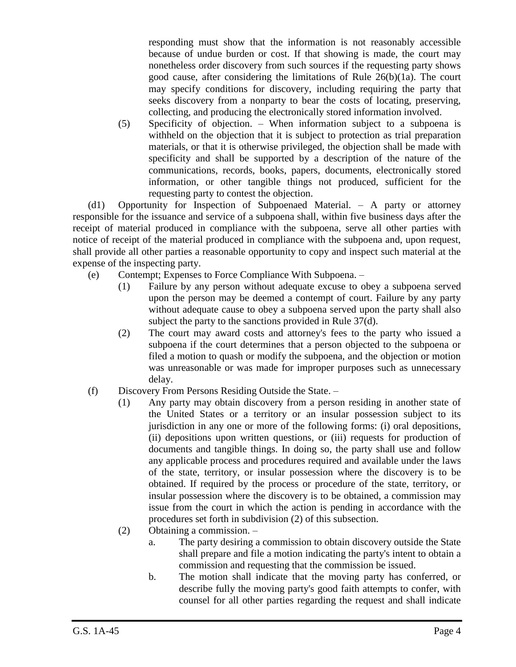responding must show that the information is not reasonably accessible because of undue burden or cost. If that showing is made, the court may nonetheless order discovery from such sources if the requesting party shows good cause, after considering the limitations of Rule 26(b)(1a). The court may specify conditions for discovery, including requiring the party that seeks discovery from a nonparty to bear the costs of locating, preserving, collecting, and producing the electronically stored information involved.

(5) Specificity of objection. – When information subject to a subpoena is withheld on the objection that it is subject to protection as trial preparation materials, or that it is otherwise privileged, the objection shall be made with specificity and shall be supported by a description of the nature of the communications, records, books, papers, documents, electronically stored information, or other tangible things not produced, sufficient for the requesting party to contest the objection.

(d1) Opportunity for Inspection of Subpoenaed Material. – A party or attorney responsible for the issuance and service of a subpoena shall, within five business days after the receipt of material produced in compliance with the subpoena, serve all other parties with notice of receipt of the material produced in compliance with the subpoena and, upon request, shall provide all other parties a reasonable opportunity to copy and inspect such material at the expense of the inspecting party.

- (e) Contempt; Expenses to Force Compliance With Subpoena.
	- (1) Failure by any person without adequate excuse to obey a subpoena served upon the person may be deemed a contempt of court. Failure by any party without adequate cause to obey a subpoena served upon the party shall also subject the party to the sanctions provided in Rule 37(d).
	- (2) The court may award costs and attorney's fees to the party who issued a subpoena if the court determines that a person objected to the subpoena or filed a motion to quash or modify the subpoena, and the objection or motion was unreasonable or was made for improper purposes such as unnecessary delay.
- (f) Discovery From Persons Residing Outside the State.
	- (1) Any party may obtain discovery from a person residing in another state of the United States or a territory or an insular possession subject to its jurisdiction in any one or more of the following forms: (i) oral depositions, (ii) depositions upon written questions, or (iii) requests for production of documents and tangible things. In doing so, the party shall use and follow any applicable process and procedures required and available under the laws of the state, territory, or insular possession where the discovery is to be obtained. If required by the process or procedure of the state, territory, or insular possession where the discovery is to be obtained, a commission may issue from the court in which the action is pending in accordance with the procedures set forth in subdivision (2) of this subsection.
	- (2) Obtaining a commission.
		- a. The party desiring a commission to obtain discovery outside the State shall prepare and file a motion indicating the party's intent to obtain a commission and requesting that the commission be issued.
		- b. The motion shall indicate that the moving party has conferred, or describe fully the moving party's good faith attempts to confer, with counsel for all other parties regarding the request and shall indicate